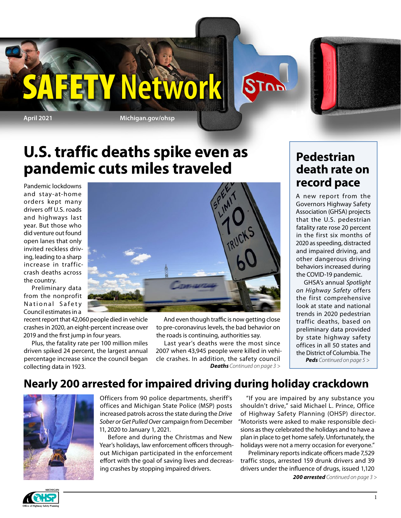

## **U.S. traffic deaths spike even as pandemic cuts miles traveled**

Pandemic lockdowns and stay-at-home orders kept many drivers off U.S. roads and highways last year. But those who did venture out found open lanes that only invited reckless driving, leading to a sharp increase in trafficcrash deaths across the country.

Preliminary data from the nonprofit National Safety Council estimates in a

recent report that 42,060 people died in vehicle crashes in 2020, an eight-percent increase over 2019 and the first jump in four years.

Plus, the fatality rate per 100 million miles driven spiked 24 percent, the largest annual percentage increase since the council began collecting data in 1923.



And even though traffic is now getting close to pre-coronavirus levels, the bad behavior on the roads is continuing, authorities say.

Last year's deaths were the most since 2007 when 43,945 people were killed in vehicle crashes. In addition, the safety council *Deaths Continued on page 3 >*

### **Pedestrian death rate on record pace**

A [new report](https://www.ghsa.org/resources/Pedestrians21)  from the Governors Highway Safety Association (GHSA) projects that the U.S. pedestrian fatality rate rose 20 percent in the first six months of 2020 as speeding, distracted and impaired driving, and other dangerous driving behaviors increased during the COVID-19 pandemic.

GHSA's annual *[Spotlight](https://www.ghsa.org/resources/Pedestrians21) [on Highway Safety](https://www.ghsa.org/resources/Pedestrians21)* offers the first comprehensive look at state and national trends in 2020 pedestrian traffic deaths, based on preliminary data provided by state highway safety offices in all 50 states and the District of Columbia. The *Peds Continued on page 5 >*

**Nearly 200 arrested for impaired driving during holiday crackdown**



Officers from 90 police departments, sheriff's offices and Michigan State Police (MSP) posts increased patrols across the state during the *Drive Sober or Get Pulled Over* campaign from December 11, 2020 to January 1, 2021.

Before and during the Christmas and New Year's holidays, law enforcement officers throughout Michigan participated in the enforcement effort with the goal of saving lives and decreasing crashes by stopping impaired drivers.

"If you are impaired by any substance you shouldn't drive," said Michael L. Prince, Office of Highway Safety Planning (OHSP) director. "Motorists were asked to make responsible decisions as they celebrated the holidays and to have a plan in place to get home safely. Unfortunately, the holidays were not a merry occasion for everyone."

Preliminary reports indicate officers made 7,529 traffic stops, arrested 159 drunk drivers and 39 drivers under the influence of drugs, issued 1,120 *200 arrested Continued on page 3 >*

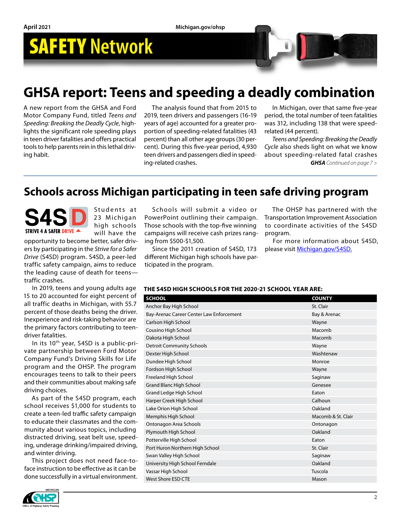## **GHSA report: Teens and speeding a deadly combination**

A new report from the GHSA and Ford Motor Company Fund, titled *Teens and Speeding: Breaking the Deadly Cycle*, highlights the significant role speeding plays in teen driver fatalities and offers practical tools to help parents rein in this lethal driving habit.

The analysis found that from 2015 to 2019, teen drivers and passengers (16-19 years of age) accounted for a greater proportion of speeding-related fatalities (43 percent) than all other age groups (30 percent). During this five-year period, 4,930 teen drivers and passengers died in speeding-related crashes.

In Michigan, over that same five-year period, the total number of teen fatalities was 312, including 138 that were speedrelated (44 percent).

*GHSA Continued on page 7 > Teens and Speeding: Breaking the Deadly Cycle* also sheds light on what we know about speeding-related fatal crashes

### **Schools across Michigan participating in teen safe driving program**

STRIVE 4 A SAFER DRIVE

Students at 23 Michigan high schools will have the

opportunity to become better, safer drivers by participating in the *Strive for a Safer Drive* (S4SD) program. S4SD, a peer-led traffic safety campaign, aims to reduce the leading cause of death for teens traffic crashes.

In 2019, teens and young adults age 15 to 20 accounted for eight percent of all traffic deaths in Michigan, with 55.7 percent of those deaths being the driver. Inexperience and risk-taking behavior are the primary factors contributing to teendriver fatalities.

In its 10<sup>th</sup> year, S4SD is a public-private partnership between Ford Motor Company Fund's Driving Skills for Life program and the OHSP. The program encourages teens to talk to their peers and their communities about making safe driving choices.

As part of the S4SD program, each school receives \$1,000 for students to create a teen-led traffic safety campaign to educate their classmates and the community about various topics, including distracted driving, seat belt use, speeding, underage drinking/impaired driving, and winter driving.

This project does not need face-toface instruction to be effective as it can be done successfully in a virtual environment.



Schools will submit a video or PowerPoint outlining their campaign. Those schools with the top-five winning campaigns will receive cash prizes ranging from \$500-\$1,500.

Since the 2011 creation of S4SD, 173 different Michigan high schools have participated in the program.

The OHSP has partnered with the Transportation Improvement Association to coordinate activities of the S4SD program.

For more information about S4SD, please visit [Michigan.gov/S4SD](https://www.michigan.gov/msp/0,4643,7-123-72297_64773_58984---,00.html).

#### **THE S4SD HIGH SCHOOLS FOR THE 2020-21 SCHOOL YEAR ARE:**

| <b>SCHOOL</b>                            | <b>COUNTY</b>      |
|------------------------------------------|--------------------|
| Anchor Bay High School                   | St. Clair          |
| Bay-Arenac Career Center Law Enforcement | Bay & Arenac       |
| Carlson High School                      | Wayne              |
| Cousino High School                      | Macomb             |
| Dakota High School                       | Macomb             |
| <b>Detroit Community Schools</b>         | Wayne              |
| Dexter High School                       | Washtenaw          |
| Dundee High School                       | Monroe             |
| Fordson High School                      | Wayne              |
| Freeland High School                     | Saginaw            |
| <b>Grand Blanc High School</b>           | Genesee            |
| Grand Ledge High School                  | Eaton              |
| Harper Creek High School                 | Calhoun            |
| Lake Orion High School                   | Oakland            |
| Memphis High School                      | Macomb & St. Clair |
| Ontonagon Area Schools                   | Ontonagon          |
| Plymouth High School                     | Oakland            |
| Potterville High School                  | Eaton              |
| Port Huron Northern High School          | St. Clair          |
| Swan Valley High School                  | Saginaw            |
| University High School Ferndale          | Oakland            |
| Vassar High School                       | Tuscola            |
| West Shore ESD CTE                       | Mason              |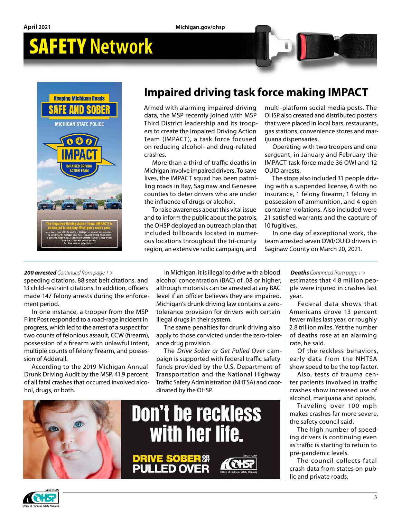

### **Impaired driving task force making IMPACT**

Armed with alarming impaired-driving data, the MSP recently joined with MSP Third District leadership and its troopers to create the Impaired Driving Action Team (IMPACT), a task force focused on reducing alcohol- and drug-related crashes.

More than a third of traffic deaths in Michigan involve impaired drivers. To save lives, the IMPACT squad has been patrolling roads in Bay, Saginaw and Genesee counties to deter drivers who are under the influence of drugs or alcohol.

To raise awareness about this vital issue and to inform the public about the patrols, the OHSP deployed an outreach plan that included billboards located in numerous locations throughout the tri-county region, an extensive radio campaign, and

multi-platform social media posts. The OHSP also created and distributed posters that were placed in local bars, restaurants, gas stations, convenience stores and marijuana dispensaries.

Operating with two troopers and one sergeant, in January and February the IMPACT task force made 36 OWI and 12 OUID arrests.

The stops also included 31 people driving with a suspended license, 6 with no insurance, 1 felony firearm, 1 felony in possession of ammunition, and 4 open container violations. Also included were 21 satisfied warrants and the capture of 10 fugitives.

In one day of exceptional work, the team arrested seven OWI/OUID drivers in Saginaw County on March 20, 2021.

#### *200 arrested Continued from page 1 >*

speeding citations, 88 seat belt citations, and 13 child-restraint citations. In addition, officers made 147 felony arrests during the enforcement period.

In one instance, a trooper from the MSP Flint Post responded to a road-rage incident in progress, which led to the arrest of a suspect for two counts of felonious assault, CCW (firearm), possession of a firearm with unlawful intent, multiple counts of felony firearm, and possession of Adderall.

According to the 2019 Michigan Annual Drunk Driving Audit by the MSP, 41.9 percent of all fatal crashes that occurred involved alcohol, drugs, or both.

In Michigan, it is illegal to drive with a blood alcohol concentration (BAC) of .08 or higher, although motorists can be arrested at any BAC level if an officer believes they are impaired. Michigan's drunk driving law contains a zerotolerance provision for drivers with certain illegal drugs in their system.

The same penalties for drunk driving also apply to those convicted under the zero-tolerance drug provision.

The *Drive Sober or Get Pulled Over* campaign is supported with federal traffic safety funds provided by the U.S. Department of Transportation and the National Highway Traffic Safety Administration (NHTSA) and coordinated by the OHSP.



estimates that 4.8 million people were injured in crashes last *Deaths Continued from page 1 >*

year. Federal data shows that Americans drove 13 percent fewer miles last year, or roughly 2.8 trillion miles. Yet the number of deaths rose at an alarming rate, he said.

Of the reckless behaviors, early data from the NHTSA show speed to be the top factor.

Also, tests of trauma center patients involved in traffic crashes show increased use of alcohol, marijuana and opiods.

Traveling over 100 mph makes crashes far more severe, the safety council said.

The high number of speeding drivers is continuing even as traffic is starting to return to pre-pandemic levels.

The council collects fatal crash data from states on public and private roads.

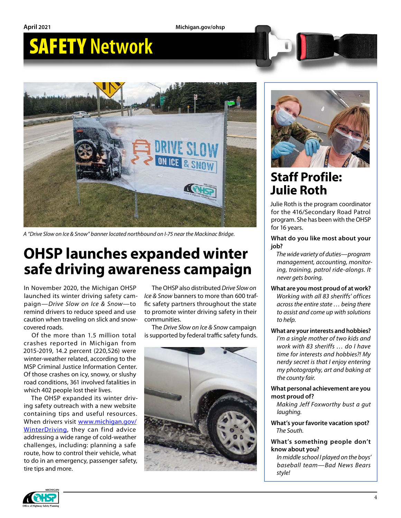**April 2021 Michigan.gov/ohsp**

# SAFETY **Network**



*A "Drive Slow on Ice & Snow" banner located northbound on I-75 near the Mackinac Bridge.*

## **OHSP launches expanded winter safe driving awareness campaign**

In November 2020, the Michigan OHSP launched its winter driving safety campaign—*Drive Slow on Ice & Snow*—to remind drivers to reduce speed and use caution when traveling on slick and snowcovered roads.

Of the more than 1.5 million total crashes reported in Michigan from 2015-2019, 14.2 percent (220,526) were winter-weather related, according to the MSP Criminal Justice Information Center. Of those crashes on icy, snowy, or slushy road conditions, 361 involved fatalities in which 402 people lost their lives.

The OHSP expanded its winter driving safety outreach with a new website containing tips and useful resources. When drivers visit [www.michigan.gov/](http://www.michigan.gov/WinterDriving) [WinterDriving,](http://www.michigan.gov/WinterDriving) they can find advice addressing a wide range of cold-weather challenges, including: planning a safe route, how to control their vehicle, what to do in an emergency, passenger safety, tire tips and more.

The OHSP also distributed *Drive Slow on Ice & Snow* banners to more than 600 traffic safety partners throughout the state to promote winter driving safety in their communities.

The *Drive Slow on Ice & Snow* campaign is supported by federal traffic safety funds.





## **Staff Profile: Julie Roth**

Julie Roth is the program coordinator for the 416/Secondary Road Patrol program. She has been with the OHSP for 16 years.

#### **What do you like most about your job?**

*The wide variety of duties—program management, accounting, monitoring, training, patrol ride-alongs. It never gets boring.*

**What are you most proud of at work?** *Working with all 83 sheriffs' offices across the entire state … being there to assist and come up with solutions to help.*

**What are your interests and hobbies?**

*I'm a single mother of two kids and work with 83 sheriffs … do I have time for interests and hobbies?! My nerdy secret is that I enjoy entering my photography, art and baking at the county fair.*

#### **What personal achievement are you most proud of?**

*Making Jeff Foxworthy bust a gut laughing.*

**What's your favorite vacation spot?** *The South.*

#### **What's something people don't know about you?**

*In middle school I played on the boys' baseball team—Bad News Bears style!*

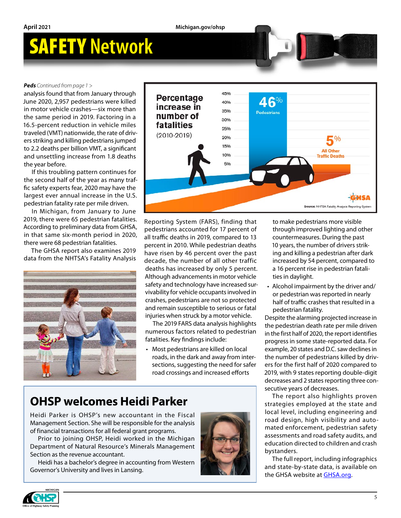#### *Peds Continued from page 1 >*

analysis found that from January through June 2020, 2,957 pedestrians were killed in motor vehicle crashes—six more than the same period in 2019. Factoring in a 16.5-percent reduction in vehicle miles traveled (VMT) nationwide, the rate of drivers striking and killing pedestrians jumped to 2.2 deaths per billion VMT, a significant and unsettling increase from 1.8 deaths the year before.

If this troubling pattern continues for the second half of the year as many traffic safety experts fear, 2020 may have the largest ever annual increase in the U.S. pedestrian fatality rate per mile driven.

In Michigan, from January to June 2019, there were 65 pedestrian fatalities. According to preliminary data from GHSA, in that same six-month period in 2020, there were 68 pedestrian fatalities.

The GHSA report also examines 2019 data from the NHTSA's Fatality Analysis





Reporting System (FARS), finding that pedestrians accounted for 17 percent of all traffic deaths in 2019, compared to 13 percent in 2010. While pedestrian deaths have risen by 46 percent over the past decade, the number of all other traffic deaths has increased by only 5 percent. Although advancements in motor vehicle safety and technology have increased survivability for vehicle occupants involved in crashes, pedestrians are not so protected and remain susceptible to serious or fatal injuries when struck by a motor vehicle.

The 2019 FARS data analysis highlights numerous factors related to pedestrian fatalities. Key findings include:

• Most pedestrians are killed on local roads, in the dark and away from intersections, suggesting the need for safer road crossings and increased efforts

### **OHSP welcomes Heidi Parker**

Heidi Parker is OHSP's new accountant in the Fiscal Management Section. She will be responsible for the analysis of financial transactions for all federal grant programs.

Prior to joining OHSP, Heidi worked in the Michigan Department of Natural Resource's Minerals Management Section as the revenue accountant.

Heidi has a bachelor's degree in accounting from Western Governor's University and lives in Lansing.



to make pedestrians more visible through improved lighting and other countermeasures. During the past 10 years, the number of drivers striking and killing a pedestrian after dark increased by 54 percent, compared to a 16 percent rise in pedestrian fatalities in daylight.

• Alcohol impairment by the driver and/ or pedestrian was reported in nearly half of traffic crashes that resulted in a pedestrian fatality.

Despite the alarming projected increase in the pedestrian death rate per mile driven in the first half of 2020, the report identifies progress in some state-reported data. For example, 20 states and D.C. saw declines in the number of pedestrians killed by drivers for the first half of 2020 compared to 2019, with 9 states reporting double-digit decreases and 2 states reporting three consecutive years of decreases.

The report also highlights proven strategies employed at the state and local level, including engineering and road design, high visibility and automated enforcement, pedestrian safety assessments and road safety audits, and education directed to children and crash bystanders.

The full report, including infographics and state-by-state data, is available on the [GHSA website](https://www.ghsa.org/resources/Pedestrians21) at **GHSA.org**.

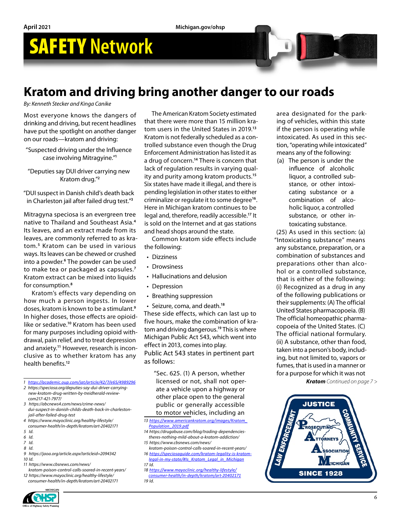## **Kratom and driving bring another danger to our roads**

*By: Kenneth Stecker and Kinga Canike*

Most everyone knows the dangers of drinking and driving, but recent headlines have put the spotlight on another danger on our roads—kratom and driving:

- "Suspected driving under the Influence case involving Mitragyine."**<sup>1</sup>**
- "Deputies say DUI driver carrying new Kratom drug."**<sup>2</sup>**
- "DUI suspect in Danish child's death back in Charleston jail after failed drug test."**<sup>3</sup>**

Mitragyna speciosa is an evergreen tree native to Thailand and Southeast Asia.**<sup>4</sup>** Its leaves, and an extract made from its leaves, are commonly referred to as kratom.**<sup>5</sup>** Kratom can be used in various ways. Its leaves can be chewed or crushed into a powder.**<sup>6</sup>** The powder can be used to make tea or packaged as capsules.**<sup>7</sup>** Kratom extract can be mixed into liquids for consumption.**<sup>8</sup>**

Kratom's effects vary depending on how much a person ingests. In lower doses, kratom is known to be a stimulant.**<sup>9</sup>** In higher doses, those effects are opioidlike or sedative.**<sup>10</sup>** Kratom has been used for many purposes including opioid withdrawal, pain relief, and to treat depression and anxiety.**11** However, research is inconclusive as to whether kratom has any health benefits.**<sup>12</sup>**

*1 <https://academic.oup.com/jat/article/42/7/e65/4989296>*

- *2 https://speciosa.org/deputies-say-dui-driver-carryingnew-kratom-drug-written-by-treidherald-reviewcom217-421-7977/*
- *3 https://abcnews4.com/news/crime-news/ dui-suspect-in-danish-childs-death-back-in-charlestonjail-after-failed-drug-test*
- *4 https://www.mayoclinic.org/healthy-lifestyle/*
- *consumer-health/in-depth/kratom/art-20402171 5 Id.*
- *6 Id.*
- *7 Id.*
- 
- *8 Id. 9 https://jaoa.org/article.aspx?articleid=2094342*
- *10 Id.*
- *11 https://www.cbsnews.com/news/*
- *kratom-poison-control-calls-soared-in-recent-years/*
- *12 https://www.mayoclinic.org/healthy-lifestyle/ consumer-health/in-depth/kratom/art-20402171*

The American Kratom Society estimated that there were more than 15 million kratom users in the United States in 2019.**<sup>13</sup>** Kratom is not federally scheduled as a controlled substance even though the Drug Enforcement Administration has listed it as a drug of concern.**<sup>14</sup>** There is concern that lack of regulation results in varying quality and purity among kratom products.**<sup>15</sup>** Six states have made it illegal, and there is pending legislation in other states to either criminalize or regulate it to some degree**<sup>16</sup>**. Here in Michigan kratom continues to be legal and, therefore, readily accessible.**<sup>17</sup>** It is sold on the Internet and at gas stations and head shops around the state.

Common kratom side effects include the following:

- Dizziness
- Drowsiness
- Hallucinations and delusion
- Depression
- Breathing suppression
- Seizure, coma, and death.**<sup>18</sup>**

These side effects, which can last up to five hours, make the combination of kratom and driving dangerous.**<sup>19</sup>** This is where Michigan Public Act 543, which went into effect in 2013, comes into play. Public Act 543 states in pertinent part as follows:

"Sec. 625. (1) A person, whether licensed or not, shall not operate a vehicle upon a highway or other place open to the general public or generally accessible to motor vehicles, including an

- *13 [https://www.americankratom.org/images/Kratom\\_](https://www.americankratom.org/images/Kratom_Population_2019.pdf) [Population\\_2019.pdf](https://www.americankratom.org/images/Kratom_Population_2019.pdf)*
- *14 https://drugabuse.com/blog/trading-dependenciestheres-nothing-mild-about-a-kratom-addiction/*
- *15 https://www.cbsnews.com/news/ kratom-poison-control-calls-soared-in-recent-years/*
- *16 https://speciosaguide.com/kratom-legality-is-kratomlegal-in-my-state/#Is\_Kratom\_Legal\_in\_Michigan*
- *17 Id.*
- *18 [https://www.mayoclinic.org/healthy-lifestyle/](https://www.mayoclinic.org/healthy-lifestyle/consumer-health/in-depth/kratom/art-20402171) [consumer-health/in-depth/kratom/art-20402171](https://www.mayoclinic.org/healthy-lifestyle/consumer-health/in-depth/kratom/art-20402171) 19 Id.*

area designated for the parking of vehicles, within this state if the person is operating while intoxicated. As used in this section, "operating while intoxicated" means any of the following:

(a) The person is under the influence of alcoholic liquor, a controlled substance, or other intoxicating substance or a combination of alcoholic liquor, a controlled substance, or other intoxicating substance.

(25) As used in this section: (a) "Intoxicating substance" means any substance, preparation, or a combination of substances and preparations other than alcohol or a controlled substance, that is either of the following: (i) Recognized as a drug in any of the following publications or their supplements: (A) The official United States pharmacopoeia. (B) The official homeopathic pharmacopoeia of the United States. (C) The official national formulary. (ii) A substance, other than food, taken into a person's body, including, but not limited to, vapors or fumes, that is used in a manner or for a purpose for which it was not

*Kratom Continued on page 7 >*